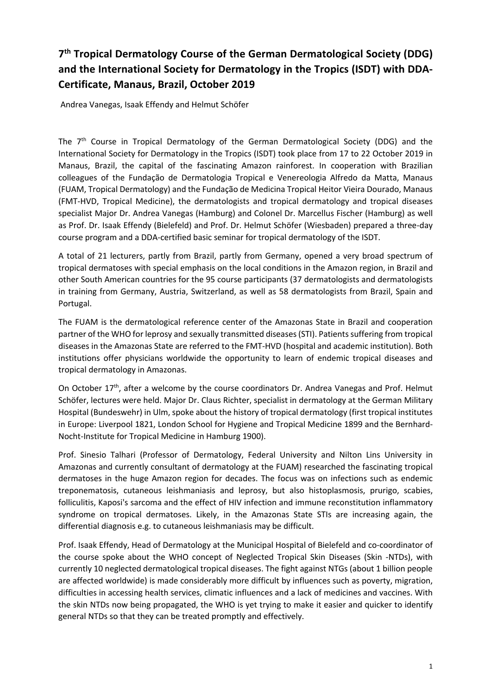## **7th Tropical Dermatology Course of the German Dermatological Society (DDG) and the International Society for Dermatology in the Tropics (ISDT) with DDA-Certificate, Manaus, Brazil, October 2019**

Andrea Vanegas, Isaak Effendy and Helmut Schöfer

The 7th Course in Tropical Dermatology of the German Dermatological Society (DDG) and the International Society for Dermatology in the Tropics (ISDT) took place from 17 to 22 October 2019 in Manaus, Brazil, the capital of the fascinating Amazon rainforest. In cooperation with Brazilian colleagues of the Fundação de Dermatologia Tropical e Venereologia Alfredo da Matta, Manaus (FUAM, Tropical Dermatology) and the Fundação de Medicina Tropical Heitor Vieira Dourado, Manaus (FMT-HVD, Tropical Medicine), the dermatologists and tropical dermatology and tropical diseases specialist Major Dr. Andrea Vanegas (Hamburg) and Colonel Dr. Marcellus Fischer (Hamburg) as well as Prof. Dr. Isaak Effendy (Bielefeld) and Prof. Dr. Helmut Schöfer (Wiesbaden) prepared a three-day course program and a DDA-certified basic seminar for tropical dermatology of the ISDT.

A total of 21 lecturers, partly from Brazil, partly from Germany, opened a very broad spectrum of tropical dermatoses with special emphasis on the local conditions in the Amazon region, in Brazil and other South American countries for the 95 course participants (37 dermatologists and dermatologists in training from Germany, Austria, Switzerland, as well as 58 dermatologists from Brazil, Spain and Portugal.

The FUAM is the dermatological reference center of the Amazonas State in Brazil and cooperation partner of the WHO for leprosy and sexually transmitted diseases (STI). Patients suffering from tropical diseases in the Amazonas State are referred to the FMT-HVD (hospital and academic institution). Both institutions offer physicians worldwide the opportunity to learn of endemic tropical diseases and tropical dermatology in Amazonas.

On October  $17<sup>th</sup>$ , after a welcome by the course coordinators Dr. Andrea Vanegas and Prof. Helmut Schöfer, lectures were held. Major Dr. Claus Richter, specialist in dermatology at the German Military Hospital (Bundeswehr) in Ulm, spoke about the history of tropical dermatology (first tropical institutes in Europe: Liverpool 1821, London School for Hygiene and Tropical Medicine 1899 and the Bernhard-Nocht-Institute for Tropical Medicine in Hamburg 1900).

Prof. Sinesio Talhari (Professor of Dermatology, Federal University and Nilton Lins University in Amazonas and currently consultant of dermatology at the FUAM) researched the fascinating tropical dermatoses in the huge Amazon region for decades. The focus was on infections such as endemic treponematosis, cutaneous leishmaniasis and leprosy, but also histoplasmosis, prurigo, scabies, folliculitis, Kaposi's sarcoma and the effect of HIV infection and immune reconstitution inflammatory syndrome on tropical dermatoses. Likely, in the Amazonas State STIs are increasing again, the differential diagnosis e.g. to cutaneous leishmaniasis may be difficult.

Prof. Isaak Effendy, Head of Dermatology at the Municipal Hospital of Bielefeld and co-coordinator of the course spoke about the WHO concept of Neglected Tropical Skin Diseases (Skin -NTDs), with currently 10 neglected dermatological tropical diseases. The fight against NTGs (about 1 billion people are affected worldwide) is made considerably more difficult by influences such as poverty, migration, difficulties in accessing health services, climatic influences and a lack of medicines and vaccines. With the skin NTDs now being propagated, the WHO is yet trying to make it easier and quicker to identify general NTDs so that they can be treated promptly and effectively.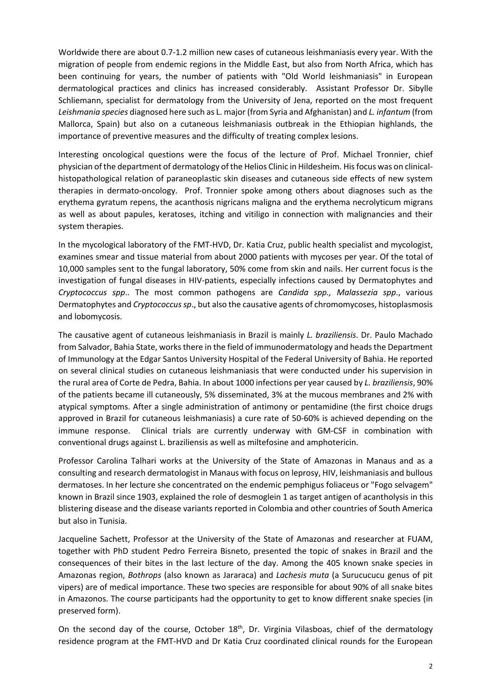Worldwide there are about 0.7-1.2 million new cases of cutaneous leishmaniasis every year. With the migration of people from endemic regions in the Middle East, but also from North Africa, which has been continuing for years, the number of patients with "Old World leishmaniasis" in European dermatological practices and clinics has increased considerably. Assistant Professor Dr. Sibylle Schliemann, specialist for dermatology from the University of Jena, reported on the most frequent *Leishmania species* diagnosed here such as L. major (from Syria and Afghanistan) and *L. infantum* (from Mallorca, Spain) but also on a cutaneous leishmaniasis outbreak in the Ethiopian highlands, the importance of preventive measures and the difficulty of treating complex lesions.

Interesting oncological questions were the focus of the lecture of Prof. Michael Tronnier, chief physician of the department of dermatology of the Helios Clinic in Hildesheim. Hisfocus was on clinicalhistopathological relation of paraneoplastic skin diseases and cutaneous side effects of new system therapies in dermato-oncology. Prof. Tronnier spoke among others about diagnoses such as the erythema gyratum repens, the acanthosis nigricans maligna and the erythema necrolyticum migrans as well as about papules, keratoses, itching and vitiligo in connection with malignancies and their system therapies.

In the mycological laboratory of the FMT-HVD, Dr. Katia Cruz, public health specialist and mycologist, examines smear and tissue material from about 2000 patients with mycoses per year. Of the total of 10,000 samples sent to the fungal laboratory, 50% come from skin and nails. Her current focus is the investigation of fungal diseases in HIV-patients, especially infections caused by Dermatophytes and *Cryptococcus spp*.. The most common pathogens are *Candida spp., Malassezia spp*., various Dermatophytes and *Cryptococcus sp*., but also the causative agents of chromomycoses, histoplasmosis and lobomycosis.

The causative agent of cutaneous leishmaniasis in Brazil is mainly *L. braziliensis*. Dr. Paulo Machado from Salvador, Bahia State, works there in the field of immunodermatology and heads the Department of Immunology at the Edgar Santos University Hospital of the Federal University of Bahia. He reported on several clinical studies on cutaneous leishmaniasis that were conducted under his supervision in the rural area of Corte de Pedra, Bahia. In about 1000 infections per year caused by *L. braziliensis*, 90% of the patients became ill cutaneously, 5% disseminated, 3% at the mucous membranes and 2% with atypical symptoms. After a single administration of antimony or pentamidine (the first choice drugs approved in Brazil for cutaneous leishmaniasis) a cure rate of 50-60% is achieved depending on the immune response. Clinical trials are currently underway with GM-CSF in combination with conventional drugs against L. braziliensis as well as miltefosine and amphotericin.

Professor Carolina Talhari works at the University of the State of Amazonas in Manaus and as a consulting and research dermatologist in Manaus with focus on leprosy, HIV, leishmaniasis and bullous dermatoses. In her lecture she concentrated on the endemic pemphigus foliaceus or "Fogo selvagem" known in Brazil since 1903, explained the role of desmoglein 1 as target antigen of acantholysis in this blistering disease and the disease variants reported in Colombia and other countries of South America but also in Tunisia.

Jacqueline Sachett, Professor at the University of the State of Amazonas and researcher at FUAM, together with PhD student Pedro Ferreira Bisneto, presented the topic of snakes in Brazil and the consequences of their bites in the last lecture of the day. Among the 405 known snake species in Amazonas region, *Bothrops* (also known as Jararaca) and *Lachesis muta* (a Surucucucu genus of pit vipers) are of medical importance. These two species are responsible for about 90% of all snake bites in Amazonos. The course participants had the opportunity to get to know different snake species (in preserved form).

On the second day of the course, October 18<sup>th</sup>, Dr. Virginia Vilasboas, chief of the dermatology residence program at the FMT-HVD and Dr Katia Cruz coordinated clinical rounds for the European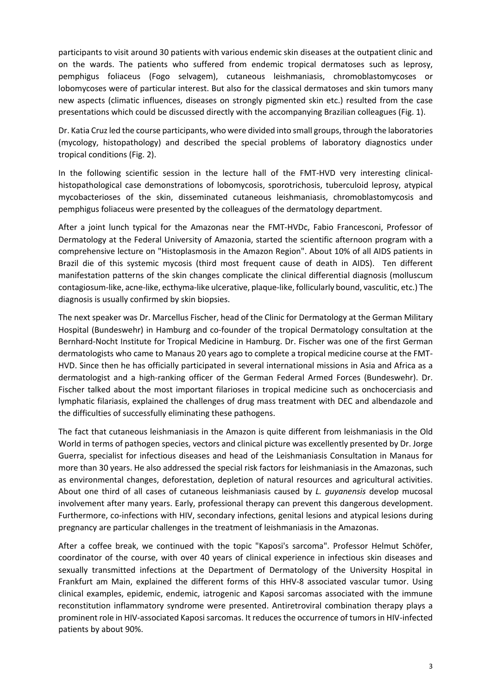participants to visit around 30 patients with various endemic skin diseases at the outpatient clinic and on the wards. The patients who suffered from endemic tropical dermatoses such as leprosy, pemphigus foliaceus (Fogo selvagem), cutaneous leishmaniasis, chromoblastomycoses or lobomycoses were of particular interest. But also for the classical dermatoses and skin tumors many new aspects (climatic influences, diseases on strongly pigmented skin etc.) resulted from the case presentations which could be discussed directly with the accompanying Brazilian colleagues (Fig. 1).

Dr. Katia Cruz led the course participants, who were divided into small groups, through the laboratories (mycology, histopathology) and described the special problems of laboratory diagnostics under tropical conditions (Fig. 2).

In the following scientific session in the lecture hall of the FMT-HVD very interesting clinicalhistopathological case demonstrations of lobomycosis, sporotrichosis, tuberculoid leprosy, atypical mycobacterioses of the skin, disseminated cutaneous leishmaniasis, chromoblastomycosis and pemphigus foliaceus were presented by the colleagues of the dermatology department.

After a joint lunch typical for the Amazonas near the FMT-HVDc, Fabio Francesconi, Professor of Dermatology at the Federal University of Amazonia, started the scientific afternoon program with a comprehensive lecture on "Histoplasmosis in the Amazon Region". About 10% of all AIDS patients in Brazil die of this systemic mycosis (third most frequent cause of death in AIDS). Ten different manifestation patterns of the skin changes complicate the clinical differential diagnosis (molluscum contagiosum-like, acne-like, ecthyma-like ulcerative, plaque-like, follicularly bound, vasculitic, etc.) The diagnosis is usually confirmed by skin biopsies.

The next speaker was Dr. Marcellus Fischer, head of the Clinic for Dermatology at the German Military Hospital (Bundeswehr) in Hamburg and co-founder of the tropical Dermatology consultation at the Bernhard-Nocht Institute for Tropical Medicine in Hamburg. Dr. Fischer was one of the first German dermatologists who came to Manaus 20 years ago to complete a tropical medicine course at the FMT-HVD. Since then he has officially participated in several international missions in Asia and Africa as a dermatologist and a high-ranking officer of the German Federal Armed Forces (Bundeswehr). Dr. Fischer talked about the most important filarioses in tropical medicine such as onchocerciasis and lymphatic filariasis, explained the challenges of drug mass treatment with DEC and albendazole and the difficulties of successfully eliminating these pathogens.

The fact that cutaneous leishmaniasis in the Amazon is quite different from leishmaniasis in the Old World in terms of pathogen species, vectors and clinical picture was excellently presented by Dr. Jorge Guerra, specialist for infectious diseases and head of the Leishmaniasis Consultation in Manaus for more than 30 years. He also addressed the special risk factors for leishmaniasis in the Amazonas, such as environmental changes, deforestation, depletion of natural resources and agricultural activities. About one third of all cases of cutaneous leishmaniasis caused by *L. guyanensis* develop mucosal involvement after many years. Early, professional therapy can prevent this dangerous development. Furthermore, co-infections with HIV, secondary infections, genital lesions and atypical lesions during pregnancy are particular challenges in the treatment of leishmaniasis in the Amazonas.

After a coffee break, we continued with the topic "Kaposi's sarcoma". Professor Helmut Schöfer, coordinator of the course, with over 40 years of clinical experience in infectious skin diseases and sexually transmitted infections at the Department of Dermatology of the University Hospital in Frankfurt am Main, explained the different forms of this HHV-8 associated vascular tumor. Using clinical examples, epidemic, endemic, iatrogenic and Kaposi sarcomas associated with the immune reconstitution inflammatory syndrome were presented. Antiretroviral combination therapy plays a prominent role in HIV-associated Kaposi sarcomas. It reduces the occurrence of tumors in HIV-infected patients by about 90%.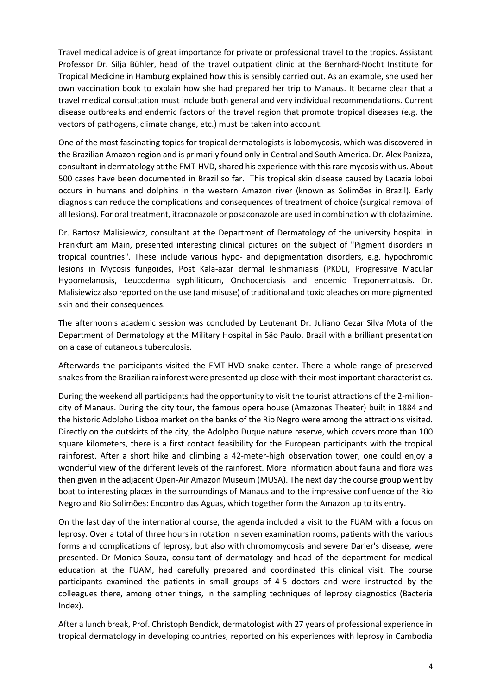Travel medical advice is of great importance for private or professional travel to the tropics. Assistant Professor Dr. Silja Bühler, head of the travel outpatient clinic at the Bernhard-Nocht Institute for Tropical Medicine in Hamburg explained how this is sensibly carried out. As an example, she used her own vaccination book to explain how she had prepared her trip to Manaus. It became clear that a travel medical consultation must include both general and very individual recommendations. Current disease outbreaks and endemic factors of the travel region that promote tropical diseases (e.g. the vectors of pathogens, climate change, etc.) must be taken into account.

One of the most fascinating topics for tropical dermatologists is lobomycosis, which was discovered in the Brazilian Amazon region and is primarily found only in Central and South America. Dr. Alex Panizza, consultant in dermatology at the FMT-HVD, shared his experience with this rare mycosis with us. About 500 cases have been documented in Brazil so far. This tropical skin disease caused by Lacazia loboi occurs in humans and dolphins in the western Amazon river (known as Solimões in Brazil). Early diagnosis can reduce the complications and consequences of treatment of choice (surgical removal of all lesions). For oral treatment, itraconazole or posaconazole are used in combination with clofazimine.

Dr. Bartosz Malisiewicz, consultant at the Department of Dermatology of the university hospital in Frankfurt am Main, presented interesting clinical pictures on the subject of "Pigment disorders in tropical countries". These include various hypo- and depigmentation disorders, e.g. hypochromic lesions in Mycosis fungoides, Post Kala-azar dermal leishmaniasis (PKDL), Progressive Macular Hypomelanosis, Leucoderma syphiliticum, Onchocerciasis and endemic Treponematosis. Dr. Malisiewicz also reported on the use (and misuse) of traditional and toxic bleaches on more pigmented skin and their consequences.

The afternoon's academic session was concluded by Leutenant Dr. Juliano Cezar Silva Mota of the Department of Dermatology at the Military Hospital in São Paulo, Brazil with a brilliant presentation on a case of cutaneous tuberculosis.

Afterwards the participants visited the FMT-HVD snake center. There a whole range of preserved snakes from the Brazilian rainforest were presented up close with their most important characteristics.

During the weekend all participants had the opportunity to visit the tourist attractions of the 2-millioncity of Manaus. During the city tour, the famous opera house (Amazonas Theater) built in 1884 and the historic Adolpho Lisboa market on the banks of the Rio Negro were among the attractions visited. Directly on the outskirts of the city, the Adolpho Duque nature reserve, which covers more than 100 square kilometers, there is a first contact feasibility for the European participants with the tropical rainforest. After a short hike and climbing a 42-meter-high observation tower, one could enjoy a wonderful view of the different levels of the rainforest. More information about fauna and flora was then given in the adjacent Open-Air Amazon Museum (MUSA). The next day the course group went by boat to interesting places in the surroundings of Manaus and to the impressive confluence of the Rio Negro and Rio Solimões: Encontro das Aguas, which together form the Amazon up to its entry.

On the last day of the international course, the agenda included a visit to the FUAM with a focus on leprosy. Over a total of three hours in rotation in seven examination rooms, patients with the various forms and complications of leprosy, but also with chromomycosis and severe Darier's disease, were presented. Dr Monica Souza, consultant of dermatology and head of the department for medical education at the FUAM, had carefully prepared and coordinated this clinical visit. The course participants examined the patients in small groups of 4-5 doctors and were instructed by the colleagues there, among other things, in the sampling techniques of leprosy diagnostics (Bacteria Index).

After a lunch break, Prof. Christoph Bendick, dermatologist with 27 years of professional experience in tropical dermatology in developing countries, reported on his experiences with leprosy in Cambodia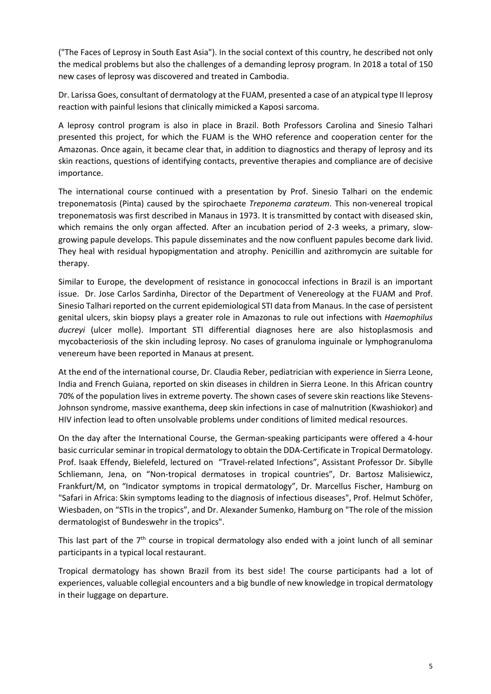("The Faces of Leprosy in South East Asia"). In the social context of this country, he described not only the medical problems but also the challenges of a demanding leprosy program. In 2018 a total of 150 new cases of leprosy was discovered and treated in Cambodia.

Dr. Larissa Goes, consultant of dermatology at the FUAM, presented a case of an atypical type II leprosy reaction with painful lesions that clinically mimicked a Kaposi sarcoma.

A leprosy control program is also in place in Brazil. Both Professors Carolina and Sinesio Talhari presented this project, for which the FUAM is the WHO reference and cooperation center for the Amazonas. Once again, it became clear that, in addition to diagnostics and therapy of leprosy and its skin reactions, questions of identifying contacts, preventive therapies and compliance are of decisive importance.

The international course continued with a presentation by Prof. Sinesio Talhari on the endemic treponematosis (Pinta) caused by the spirochaete *Treponema carateum*. This non-venereal tropical treponematosis was first described in Manaus in 1973. It is transmitted by contact with diseased skin, which remains the only organ affected. After an incubation period of 2-3 weeks, a primary, slowgrowing papule develops. This papule disseminates and the now confluent papules become dark livid. They heal with residual hypopigmentation and atrophy. Penicillin and azithromycin are suitable for therapy.

Similar to Europe, the development of resistance in gonococcal infections in Brazil is an important issue. Dr. Jose Carlos Sardinha, Director of the Department of Venereology at the FUAM and Prof. Sinesio Talhari reported on the current epidemiological STI data from Manaus. In the case of persistent genital ulcers, skin biopsy plays a greater role in Amazonas to rule out infections with *Haemophilus ducreyi* (ulcer molle). Important STI differential diagnoses here are also histoplasmosis and mycobacteriosis of the skin including leprosy. No cases of granuloma inguinale or lymphogranuloma venereum have been reported in Manaus at present.

At the end of the international course, Dr. Claudia Reber, pediatrician with experience in Sierra Leone, India and French Guiana, reported on skin diseases in children in Sierra Leone. In this African country 70% of the population lives in extreme poverty. The shown cases of severe skin reactions like Stevens-Johnson syndrome, massive exanthema, deep skin infections in case of malnutrition (Kwashiokor) and HIV infection lead to often unsolvable problems under conditions of limited medical resources.

On the day after the International Course, the German-speaking participants were offered a 4-hour basic curricular seminar in tropical dermatology to obtain the DDA-Certificate in Tropical Dermatology. Prof. Isaak Effendy, Bielefeld, lectured on "Travel-related Infections", Assistant Professor Dr. Sibylle Schliemann, Jena, on "Non-tropical dermatoses in tropical countries", Dr. Bartosz Malisiewicz, Frankfurt/M, on "Indicator symptoms in tropical dermatology", Dr. Marcellus Fischer, Hamburg on "Safari in Africa: Skin symptoms leading to the diagnosis of infectious diseases", Prof. Helmut Schöfer, Wiesbaden, on "STIs in the tropics", and Dr. Alexander Sumenko, Hamburg on "The role of the mission dermatologist of Bundeswehr in the tropics".

This last part of the  $7<sup>th</sup>$  course in tropical dermatology also ended with a joint lunch of all seminar participants in a typical local restaurant.

Tropical dermatology has shown Brazil from its best side! The course participants had a lot of experiences, valuable collegial encounters and a big bundle of new knowledge in tropical dermatology in their luggage on departure.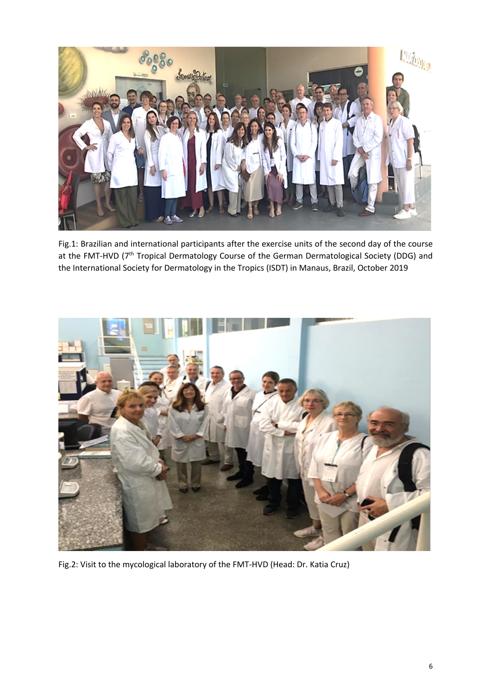

Fig.1: Brazilian and international participants after the exercise units of the second day of the course at the FMT-HVD (7<sup>th</sup> Tropical Dermatology Course of the German Dermatological Society (DDG) and the International Society for Dermatology in the Tropics (ISDT) in Manaus, Brazil, October 2019



Fig.2: Visit to the mycological laboratory of the FMT-HVD (Head: Dr. Katia Cruz)